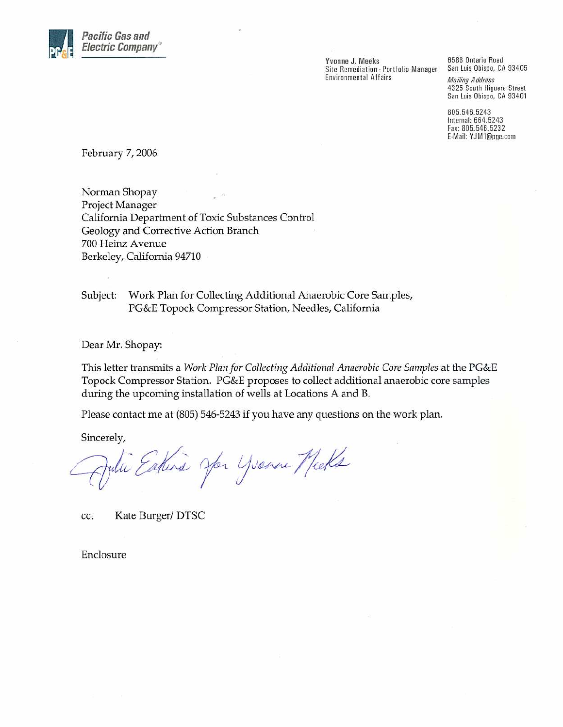

Yvonne J. Meeks Site Remediation - Portfolio Manager **Environmental Affairs** 

6588 Ontario Road San Luis Obispo, CA 93405 **Mailing Address** 4325 South Higuera Street

San Luis Obispo, CA 93401

805.546.5243 Internal: 664.5243 Fax: 805.546.5232 E-Mail: YJM1@pge.com

February 7, 2006

Norman Shopay Project Manager California Department of Toxic Substances Control Geology and Corrective Action Branch 700 Heinz Avenue Berkeley, California 94710

Subject: Work Plan for Collecting Additional Anaerobic Core Samples, PG&E Topock Compressor Station, Needles, California

Dear Mr. Shopay:

This letter transmits a Work Plan for Collecting Additional Anaerobic Core Samples at the PG&E Topock Compressor Station. PG&E proposes to collect additional anaerobic core samples during the upcoming installation of wells at Locations A and B.

Please contact me at (805) 546-5243 if you have any questions on the work plan.

Sincerely,

Eature Jon Youne Mecks

Kate Burger/DTSC cc.

Enclosure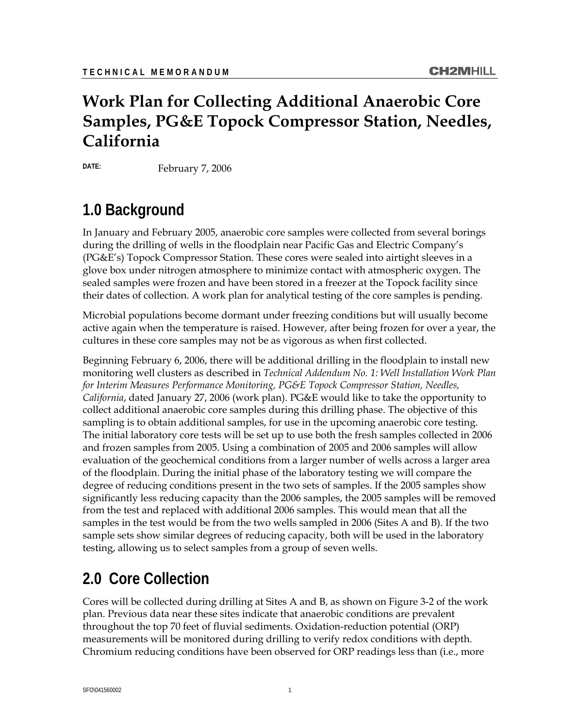## **Work Plan for Collecting Additional Anaerobic Core Samples, PG&E Topock Compressor Station, Needles, California**

**DATE:** February 7, 2006

# **1.0 Background**

In January and February 2005, anaerobic core samples were collected from several borings during the drilling of wells in the floodplain near Pacific Gas and Electric Company's (PG&E's) Topock Compressor Station. These cores were sealed into airtight sleeves in a glove box under nitrogen atmosphere to minimize contact with atmospheric oxygen. The sealed samples were frozen and have been stored in a freezer at the Topock facility since their dates of collection. A work plan for analytical testing of the core samples is pending.

Microbial populations become dormant under freezing conditions but will usually become active again when the temperature is raised. However, after being frozen for over a year, the cultures in these core samples may not be as vigorous as when first collected.

Beginning February 6, 2006, there will be additional drilling in the floodplain to install new monitoring well clusters as described in *Technical Addendum No. 1: Well Installation Work Plan for Interim Measures Performance Monitoring, PG&E Topock Compressor Station, Needles, California*, dated January 27, 2006 (work plan). PG&E would like to take the opportunity to collect additional anaerobic core samples during this drilling phase. The objective of this sampling is to obtain additional samples, for use in the upcoming anaerobic core testing. The initial laboratory core tests will be set up to use both the fresh samples collected in 2006 and frozen samples from 2005. Using a combination of 2005 and 2006 samples will allow evaluation of the geochemical conditions from a larger number of wells across a larger area of the floodplain. During the initial phase of the laboratory testing we will compare the degree of reducing conditions present in the two sets of samples. If the 2005 samples show significantly less reducing capacity than the 2006 samples, the 2005 samples will be removed from the test and replaced with additional 2006 samples. This would mean that all the samples in the test would be from the two wells sampled in 2006 (Sites A and B). If the two sample sets show similar degrees of reducing capacity, both will be used in the laboratory testing, allowing us to select samples from a group of seven wells.

## **2.0 Core Collection**

Cores will be collected during drilling at Sites A and B, as shown on Figure 3-2 of the work plan. Previous data near these sites indicate that anaerobic conditions are prevalent throughout the top 70 feet of fluvial sediments. Oxidation-reduction potential (ORP) measurements will be monitored during drilling to verify redox conditions with depth. Chromium reducing conditions have been observed for ORP readings less than (i.e., more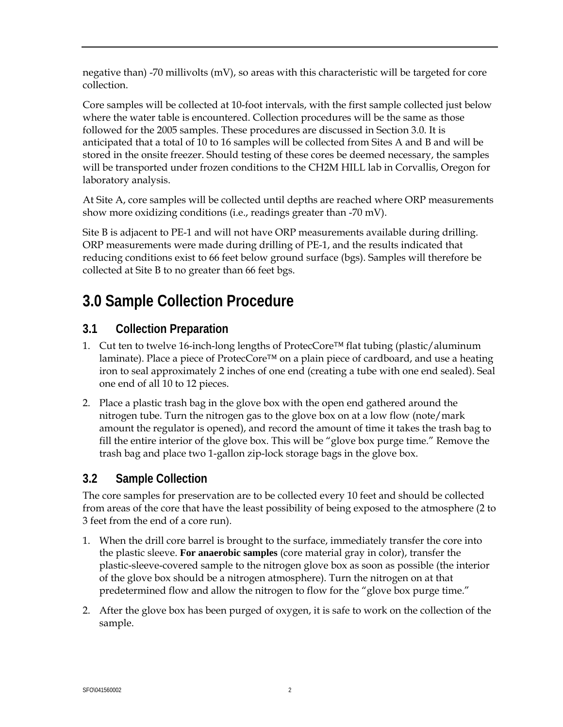negative than) -70 millivolts (mV), so areas with this characteristic will be targeted for core collection.

Core samples will be collected at 10-foot intervals, with the first sample collected just below where the water table is encountered. Collection procedures will be the same as those followed for the 2005 samples. These procedures are discussed in Section 3.0. It is anticipated that a total of 10 to 16 samples will be collected from Sites A and B and will be stored in the onsite freezer. Should testing of these cores be deemed necessary, the samples will be transported under frozen conditions to the CH2M HILL lab in Corvallis, Oregon for laboratory analysis.

At Site A, core samples will be collected until depths are reached where ORP measurements show more oxidizing conditions (i.e., readings greater than -70 mV).

Site B is adjacent to PE-1 and will not have ORP measurements available during drilling. ORP measurements were made during drilling of PE-1, and the results indicated that reducing conditions exist to 66 feet below ground surface (bgs). Samples will therefore be collected at Site B to no greater than 66 feet bgs.

## **3.0 Sample Collection Procedure**

#### **3.1 Collection Preparation**

- 1. Cut ten to twelve 16-inch-long lengths of ProtecCore<sup>™</sup> flat tubing (plastic/aluminum laminate). Place a piece of ProtecCore™ on a plain piece of cardboard, and use a heating iron to seal approximately 2 inches of one end (creating a tube with one end sealed). Seal one end of all 10 to 12 pieces.
- 2. Place a plastic trash bag in the glove box with the open end gathered around the nitrogen tube. Turn the nitrogen gas to the glove box on at a low flow (note/mark amount the regulator is opened), and record the amount of time it takes the trash bag to fill the entire interior of the glove box. This will be "glove box purge time." Remove the trash bag and place two 1-gallon zip-lock storage bags in the glove box.

#### **3.2 Sample Collection**

The core samples for preservation are to be collected every 10 feet and should be collected from areas of the core that have the least possibility of being exposed to the atmosphere (2 to 3 feet from the end of a core run).

- 1. When the drill core barrel is brought to the surface, immediately transfer the core into the plastic sleeve. **For anaerobic samples** (core material gray in color), transfer the plastic-sleeve-covered sample to the nitrogen glove box as soon as possible (the interior of the glove box should be a nitrogen atmosphere). Turn the nitrogen on at that predetermined flow and allow the nitrogen to flow for the "glove box purge time."
- 2. After the glove box has been purged of oxygen, it is safe to work on the collection of the sample.